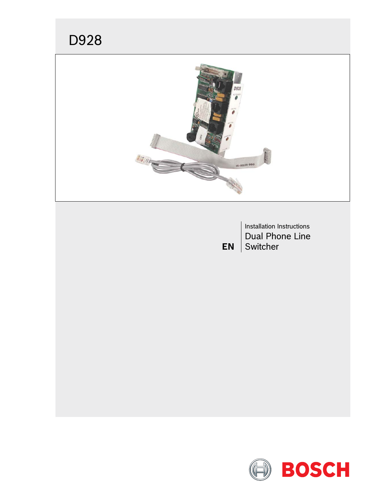# D928



Installation Instructions Dual Phone Line **EN** Switcher

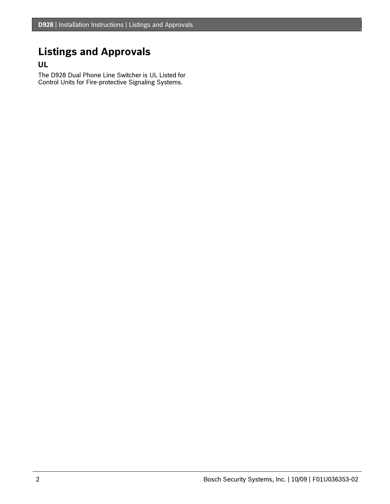## **Listings and Approvals**

### **UL**

The D928 Dual Phone Line Switcher is UL Listed for Control Units for Fire-protective Signaling Systems.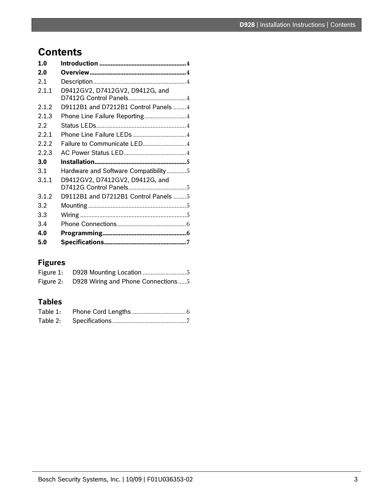## **Contents**

| 1.0   |                                      |  |
|-------|--------------------------------------|--|
| 2.0   |                                      |  |
| 2.1   |                                      |  |
| 2.1.1 | D9412GV2, D7412GV2, D9412G, and      |  |
| 2.1.2 | D9112B1 and D7212B1 Control Panels 4 |  |
| 2.1.3 | Phone Line Failure Reporting4        |  |
| 2.2   |                                      |  |
| 2.2.1 | Phone Line Failure LEDs 4            |  |
| 2.2.2 | Failure to Communicate LED4          |  |
| 2.2.3 |                                      |  |
| 3.0   |                                      |  |
| 3.1   | Hardware and Software Compatibility5 |  |
| 3.1.1 | D9412GV2, D7412GV2, D9412G, and      |  |
| 3.1.2 | D9112B1 and D7212B1 Control Panels 5 |  |
| 3.2   |                                      |  |
| 3.3   |                                      |  |
| 3.4   |                                      |  |
| 4.0   |                                      |  |
| 5.0   |                                      |  |

### **Figures**

| Figure 2: D928 Wiring and Phone Connections5 |
|----------------------------------------------|

### **Tables**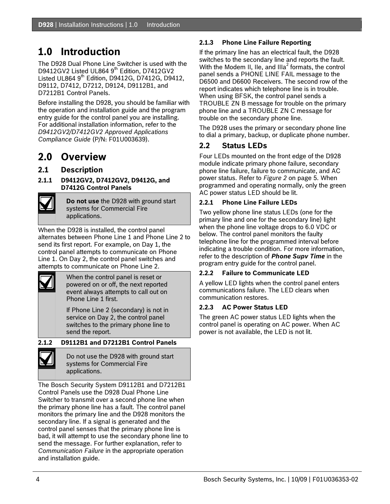## <span id="page-3-0"></span>**1.0 Introduction**

The D928 Dual Phone Line Switcher is used with the D9412GV2 Listed UL864 9<sup>th</sup> Edition, D7412GV2 Listed UL864  $9<sup>th</sup>$  Edition, D9412G, D7412G, D9412, D9112, D7412, D7212, D9124, D9112B1, and D7212B1 Control Panels.

Before installing the D928, you should be familiar with the operation and installation guide and the program entry guide for the control panel you are installing. For additional installation information, refer to the *D9412GV2/D7412GV2 Approved Applications Compliance Guide* (P/N: F01U003639).

### **2.0 Overview**

#### **2.1 Description**

**2.1.1 D9412GV2, D7412GV2, D9412G, and D7412G Control Panels** 



**Do not use** the D928 with ground start systems for Commercial Fire applications.

When the D928 is installed, the control panel alternates between Phone Line 1 and Phone Line 2 to send its first report. For example, on Day 1, the control panel attempts to communicate on Phone Line 1. On Day 2, the control panel switches and attempts to communicate on Phone Line 2.



When the control panel is reset or powered on or off, the next reported event always attempts to call out on Phone Line 1 first.

If Phone Line 2 (secondary) is not in service on Day 2, the control panel switches to the primary phone line to send the report.

**2.1.2 D9112B1 and D7212B1 Control Panels** 



Do not use the D928 with ground start systems for Commercial Fire applications.

The Bosch Security System D9112B1 and D7212B1 Control Panels use the D928 Dual Phone Line Switcher to transmit over a second phone line when the primary phone line has a fault. The control panel monitors the primary line and the D928 monitors the secondary line. If a signal is generated and the control panel senses that the primary phone line is bad, it will attempt to use the secondary phone line to send the message. For further explanation, refer to *Communication Failure* in the appropriate operation and installation guide.

#### **2.1.3 Phone Line Failure Reporting**

If the primary line has an electrical fault, the D928 switches to the secondary line and reports the fault. With the Modem II, Ile, and III $a^2$  formats, the control panel sends a PHONE LINE FAIL message to the D6500 and D6600 Receivers. The second row of the report indicates which telephone line is in trouble. When using BFSK, the control panel sends a TROUBLE ZN B message for trouble on the primary phone line and a TROUBLE ZN C message for trouble on the secondary phone line.

The D928 uses the primary or secondary phone line to dial a primary, backup, or duplicate phone number.

### **2.2 Status LEDs**

Four LEDs mounted on the front edge of the D928 module indicate primary phone failure, secondary phone line failure, failure to communicate, and AC power status. Refer to *[Figure 2](#page-4-1)* on page [5.](#page-4-1) When programmed and operating normally, only the green AC power status LED should be lit.

#### **2.2.1 Phone Line Failure LEDs**

Two yellow phone line status LEDs (one for the primary line and one for the secondary line) light when the phone line voltage drops to 6.0 VDC or below. The control panel monitors the faulty telephone line for the programmed interval before indicating a trouble condition. For more information, refer to the description of *Phone Supv Time* in the program entry guide for the control panel.

#### **2.2.2 Failure to Communicate LED**

A yellow LED lights when the control panel enters communications failure. The LED clears when communication restores.

#### **2.2.3 AC Power Status LED**

The green AC power status LED lights when the control panel is operating on AC power. When AC power is not available, the LED is not lit.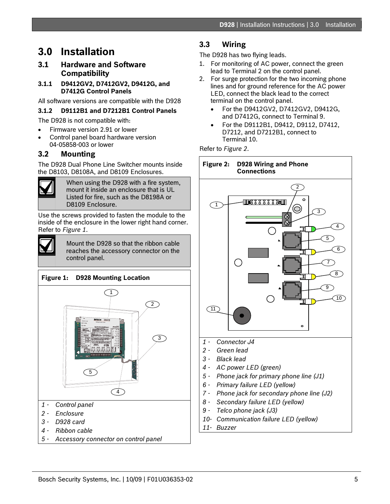### <span id="page-4-0"></span>**3.0 Installation**

#### **3.1 Hardware and Software Compatibility**

#### **3.1.1 D9412GV2, D7412GV2, D9412G, and D7412G Control Panels**

All software versions are compatible with the D928

#### **3.1.2 D9112B1 and D7212B1 Control Panels**

The D928 is not compatible with:

- Firmware version 2.91 or lower
- Control panel board hardware version 04-05858-003 or lower

#### **3.2 Mounting**

<span id="page-4-1"></span>The D928 Dual Phone Line Switcher mounts inside the D8103, D8108A, and D8109 Enclosures.



When using the D928 with a fire system, mount it inside an enclosure that is UL Listed for fire, such as the D8198A or D8109 Enclosure.

Use the screws provided to fasten the module to the inside of the enclosure in the lower right hand corner. Refer to *[Figure 1](#page-4-2)*.



Mount the D928 so that the ribbon cable reaches the accessory connector on the control panel.

### <span id="page-4-2"></span>**Figure 1: D928 Mounting Location**   $\bigcap$ 2



- *2 Enclosure*
- *3 D928 card*
- *4 Ribbon cable*
- *5 Accessory connector on control panel*

### **3.3 Wiring**

The D928 has two flying leads.

- 1. For monitoring of AC power, connect the green lead to Terminal 2 on the control panel.
- 2. For surge protection for the two incoming phone lines and for ground reference for the AC power LED, connect the black lead to the correct terminal on the control panel.
	- For the D9412GV2, D7412GV2, D9412G, and D7412G, connect to Terminal 9.
	- For the D9112B1, D9412, D9112, D7412, D7212, and D7212B1, connect to Terminal 10.

Refer to *[Figure 2](#page-4-1)*.



- *1 Connector J4*
- *2 Green lead*
- *3 Black lead*
- *4 AC power LED (green)*
- *5 Phone jack for primary phone line (J1)*
- *6 Primary failure LED (yellow)*
- *7 Phone jack for secondary phone line (J2)*
- *8 Secondary failure LED (yellow)*
- *9 Telco phone jack (J3)*
- *10- Communication failure LED (yellow)*
- *11- Buzzer*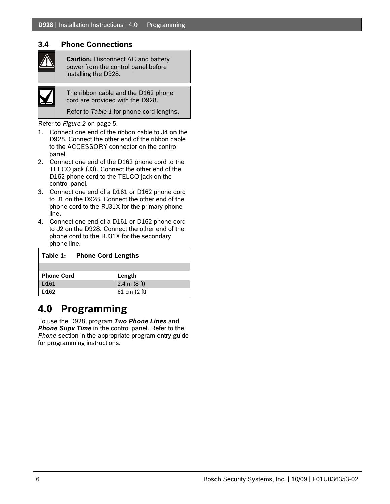#### <span id="page-5-0"></span>**3.4 Phone Connections**

**Caution:** Disconnect AC and battery power from the control panel before installing the D928.



The ribbon cable and the D162 phone cord are provided with the D928.

Refer to *[Table 1](#page-5-1)* for phone cord lengths.

Refer to *[Figure 2](#page-4-1)* on page [5](#page-4-1).

- 1. Connect one end of the ribbon cable to J4 on the D928. Connect the other end of the ribbon cable to the ACCESSORY connector on the control panel.
- 2. Connect one end of the D162 phone cord to the TELCO jack (J3). Connect the other end of the D162 phone cord to the TELCO jack on the control panel.
- 3. Connect one end of a D161 or D162 phone cord to J1 on the D928. Connect the other end of the phone cord to the RJ31X for the primary phone line.
- 4. Connect one end of a D161 or D162 phone cord to J2 on the D928. Connect the other end of the phone cord to the RJ31X for the secondary phone line.

<span id="page-5-1"></span>

| Table 1:<br><b>Phone Cord Lengths</b> |                        |  |  |
|---------------------------------------|------------------------|--|--|
|                                       |                        |  |  |
| <b>Phone Cord</b>                     | Length                 |  |  |
| D <sub>161</sub>                      | $2.4 \text{ m}$ (8 ft) |  |  |
| D162                                  | 61 cm $(2 ft)$         |  |  |

## **4.0 Programming**

To use the D928, program *Two Phone Lines* and **Phone Supv Time** in the control panel. Refer to the *Phone* section in the appropriate program entry guide for programming instructions.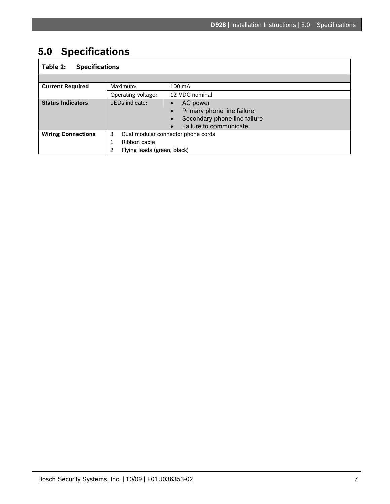## <span id="page-6-0"></span>**5.0 Specifications**

### **Table 2: Specifications**

| <b>Current Required</b>   | Maximum:                                         | 100 mA                                                                                                                     |
|---------------------------|--------------------------------------------------|----------------------------------------------------------------------------------------------------------------------------|
|                           | Operating voltage:                               | 12 VDC nominal                                                                                                             |
| <b>Status Indicators</b>  | LEDs indicate:                                   | AC power<br>Primary phone line failure<br>$\bullet$<br>Secondary phone line failure<br>$\bullet$<br>Failure to communicate |
| <b>Wiring Connections</b> | 3<br>Ribbon cable<br>Flying leads (green, black) | Dual modular connector phone cords                                                                                         |